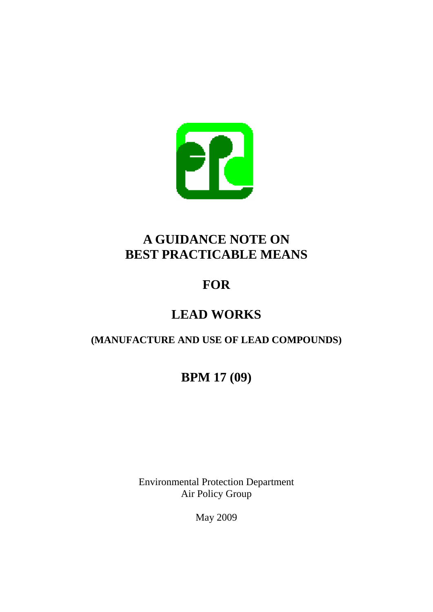

## **A GUIDANCE NOTE ON BEST PRACTICABLE MEANS**

# **FOR**

## **LEAD WORKS**

## **(MANUFACTURE AND USE OF LEAD COMPOUNDS)**

## **BPM 17 (09)**

Environmental Protection Department Air Policy Group

May 2009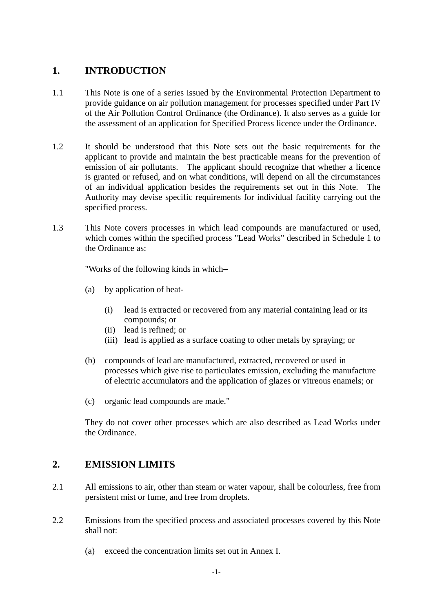## **1. INTRODUCTION**

- 1.1 This Note is one of a series issued by the Environmental Protection Department to provide guidance on air pollution management for processes specified under Part IV of the Air Pollution Control Ordinance (the Ordinance). It also serves as a guide for the assessment of an application for Specified Process licence under the Ordinance.
- 1.2 It should be understood that this Note sets out the basic requirements for the applicant to provide and maintain the best practicable means for the prevention of emission of air pollutants. The applicant should recognize that whether a licence is granted or refused, and on what conditions, will depend on all the circumstances of an individual application besides the requirements set out in this Note. The Authority may devise specific requirements for individual facility carrying out the specified process.
- 1.3 This Note covers processes in which lead compounds are manufactured or used, which comes within the specified process "Lead Works" described in Schedule 1 to the Ordinance as:

"Works of the following kinds in which−

- (a) by application of heat-
	- (i) lead is extracted or recovered from any material containing lead or its compounds; or
	- (ii) lead is refined; or
	- (iii) lead is applied as a surface coating to other metals by spraying; or
- (b) compounds of lead are manufactured, extracted, recovered or used in processes which give rise to particulates emission, excluding the manufacture of electric accumulators and the application of glazes or vitreous enamels; or
- (c) organic lead compounds are made."

They do not cover other processes which are also described as Lead Works under the Ordinance.

## **2. EMISSION LIMITS**

- 2.1 All emissions to air, other than steam or water vapour, shall be colourless, free from persistent mist or fume, and free from droplets.
- 2.2 Emissions from the specified process and associated processes covered by this Note shall not:
	- (a) exceed the concentration limits set out in Annex I.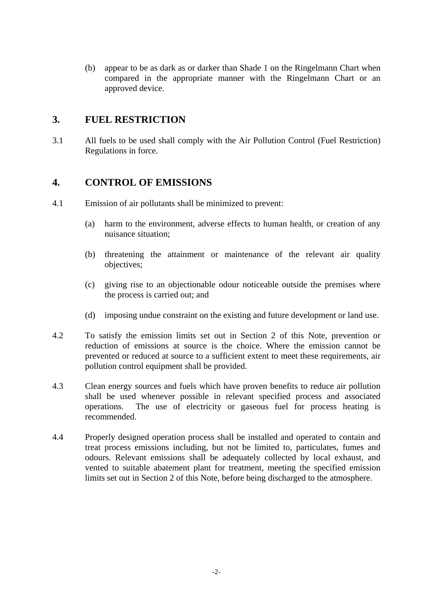(b) appear to be as dark as or darker than Shade 1 on the Ringelmann Chart when compared in the appropriate manner with the Ringelmann Chart or an approved device.

## **3. FUEL RESTRICTION**

3.1 All fuels to be used shall comply with the Air Pollution Control (Fuel Restriction) Regulations in force.

### **4. CONTROL OF EMISSIONS**

- 4.1 Emission of air pollutants shall be minimized to prevent:
	- (a) harm to the environment, adverse effects to human health, or creation of any nuisance situation;
	- (b) threatening the attainment or maintenance of the relevant air quality objectives;
	- (c) giving rise to an objectionable odour noticeable outside the premises where the process is carried out; and
	- (d) imposing undue constraint on the existing and future development or land use.
- 4.2 To satisfy the emission limits set out in Section 2 of this Note, prevention or reduction of emissions at source is the choice. Where the emission cannot be prevented or reduced at source to a sufficient extent to meet these requirements, air pollution control equipment shall be provided.
- 4.3 Clean energy sources and fuels which have proven benefits to reduce air pollution shall be used whenever possible in relevant specified process and associated operations. The use of electricity or gaseous fuel for process heating is recommended.
- 4.4 Properly designed operation process shall be installed and operated to contain and treat process emissions including, but not be limited to, particulates, fumes and odours. Relevant emissions shall be adequately collected by local exhaust, and vented to suitable abatement plant for treatment, meeting the specified emission limits set out in Section 2 of this Note, before being discharged to the atmosphere.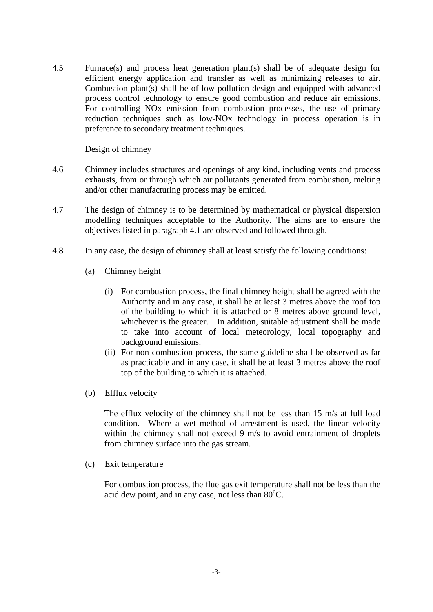4.5 Furnace(s) and process heat generation plant(s) shall be of adequate design for efficient energy application and transfer as well as minimizing releases to air. Combustion plant(s) shall be of low pollution design and equipped with advanced process control technology to ensure good combustion and reduce air emissions. For controlling NOx emission from combustion processes, the use of primary reduction techniques such as low-NOx technology in process operation is in preference to secondary treatment techniques.

#### Design of chimney

- 4.6 Chimney includes structures and openings of any kind, including vents and process exhausts, from or through which air pollutants generated from combustion, melting and/or other manufacturing process may be emitted.
- 4.7 The design of chimney is to be determined by mathematical or physical dispersion modelling techniques acceptable to the Authority. The aims are to ensure the objectives listed in paragraph 4.1 are observed and followed through.
- 4.8 In any case, the design of chimney shall at least satisfy the following conditions:
	- (a) Chimney height
		- (i) For combustion process, the final chimney height shall be agreed with the Authority and in any case, it shall be at least 3 metres above the roof top of the building to which it is attached or 8 metres above ground level, whichever is the greater. In addition, suitable adjustment shall be made to take into account of local meteorology, local topography and background emissions.
		- (ii) For non-combustion process, the same guideline shall be observed as far as practicable and in any case, it shall be at least 3 metres above the roof top of the building to which it is attached.
	- (b) Efflux velocity

The efflux velocity of the chimney shall not be less than 15 m/s at full load condition. Where a wet method of arrestment is used, the linear velocity within the chimney shall not exceed 9 m/s to avoid entrainment of droplets from chimney surface into the gas stream.

(c) Exit temperature

For combustion process, the flue gas exit temperature shall not be less than the acid dew point, and in any case, not less than  $80^{\circ}$ C.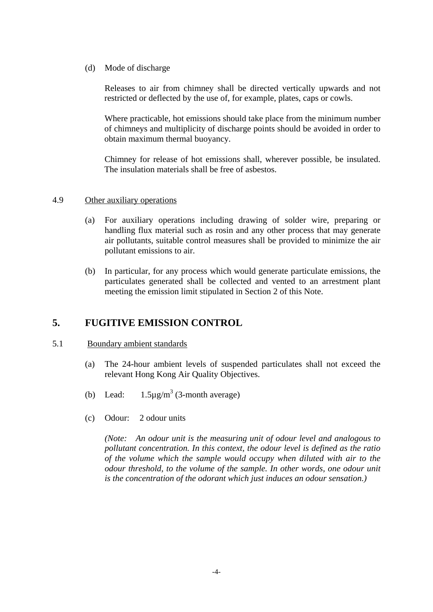(d) Mode of discharge

Releases to air from chimney shall be directed vertically upwards and not restricted or deflected by the use of, for example, plates, caps or cowls.

Where practicable, hot emissions should take place from the minimum number of chimneys and multiplicity of discharge points should be avoided in order to obtain maximum thermal buoyancy.

Chimney for release of hot emissions shall, wherever possible, be insulated. The insulation materials shall be free of asbestos.

#### 4.9 Other auxiliary operations

- (a) For auxiliary operations including drawing of solder wire, preparing or handling flux material such as rosin and any other process that may generate air pollutants, suitable control measures shall be provided to minimize the air pollutant emissions to air.
- (b) In particular, for any process which would generate particulate emissions, the particulates generated shall be collected and vented to an arrestment plant meeting the emission limit stipulated in Section 2 of this Note.

### **5. FUGITIVE EMISSION CONTROL**

#### 5.1 Boundary ambient standards

- (a) The 24-hour ambient levels of suspended particulates shall not exceed the relevant Hong Kong Air Quality Objectives.
- $(b)$  Lead:  $1.5\mu\text{g/m}^3$  (3-month average)
- (c) Odour: 2 odour units

*(Note: An odour unit is the measuring unit of odour level and analogous to pollutant concentration. In this context, the odour level is defined as the ratio of the volume which the sample would occupy when diluted with air to the odour threshold, to the volume of the sample. In other words, one odour unit is the concentration of the odorant which just induces an odour sensation.)*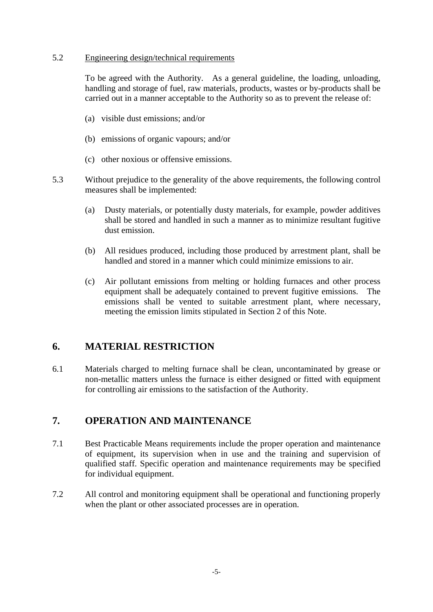#### 5.2 Engineering design/technical requirements

To be agreed with the Authority. As a general guideline, the loading, unloading, handling and storage of fuel, raw materials, products, wastes or by-products shall be carried out in a manner acceptable to the Authority so as to prevent the release of:

- (a) visible dust emissions; and/or
- (b) emissions of organic vapours; and/or
- (c) other noxious or offensive emissions.
- 5.3 Without prejudice to the generality of the above requirements, the following control measures shall be implemented:
	- (a) Dusty materials, or potentially dusty materials, for example, powder additives shall be stored and handled in such a manner as to minimize resultant fugitive dust emission.
	- (b) All residues produced, including those produced by arrestment plant, shall be handled and stored in a manner which could minimize emissions to air.
	- (c) Air pollutant emissions from melting or holding furnaces and other process equipment shall be adequately contained to prevent fugitive emissions. The emissions shall be vented to suitable arrestment plant, where necessary, meeting the emission limits stipulated in Section 2 of this Note.

### **6. MATERIAL RESTRICTION**

6.1 Materials charged to melting furnace shall be clean, uncontaminated by grease or non-metallic matters unless the furnace is either designed or fitted with equipment for controlling air emissions to the satisfaction of the Authority.

## **7. OPERATION AND MAINTENANCE**

- 7.1 Best Practicable Means requirements include the proper operation and maintenance of equipment, its supervision when in use and the training and supervision of qualified staff. Specific operation and maintenance requirements may be specified for individual equipment.
- 7.2 All control and monitoring equipment shall be operational and functioning properly when the plant or other associated processes are in operation.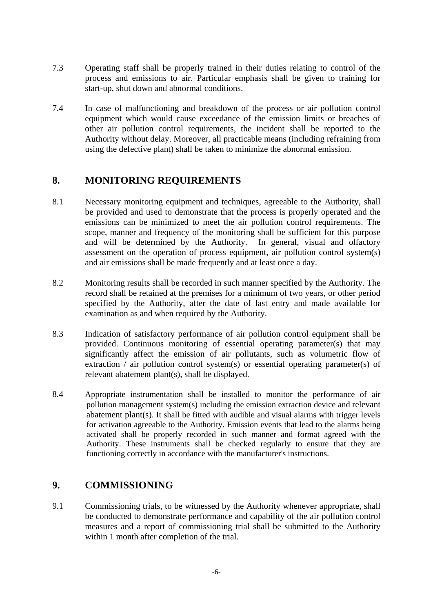- 7.3 Operating staff shall be properly trained in their duties relating to control of the process and emissions to air. Particular emphasis shall be given to training for start-up, shut down and abnormal conditions.
- using the defective plant) shall be taken to minimize the abnormal emission. 7.4 In case of malfunctioning and breakdown of the process or air pollution control equipment which would cause exceedance of the emission limits or breaches of other air pollution control requirements, the incident shall be reported to the Authority without delay. Moreover, all practicable means (including refraining from

### **8. MONITORING REQUIREMENTS**

- 8.1 Necessary monitoring equipment and techniques, agreeable to the Authority, shall be provided and used to demonstrate that the process is properly operated and the emissions can be minimized to meet the air pollution control requirements. The scope, manner and frequency of the monitoring shall be sufficient for this purpose and will be determined by the Authority. In general, visual and olfactory assessment on the operation of process equipment, air pollution control system(s) and air emissions shall be made frequently and at least once a day.
- 8.2 Monitoring results shall be recorded in such manner specified by the Authority. The record shall be retained at the premises for a minimum of two years, or other period specified by the Authority, after the date of last entry and made available for examination as and when required by the Authority.
- 8.3 Indication of satisfactory performance of air pollution control equipment shall be provided. Continuous monitoring of essential operating parameter(s) that may significantly affect the emission of air pollutants, such as volumetric flow of extraction / air pollution control system(s) or essential operating parameter(s) of relevant abatement plant(s), shall be displayed.
- 84 Appropriate instrumentation shall be installed to monitor the performance of air pollution management system(s) including the emission extraction device and relevant abatement plant(s). It shall be fitted with audible and visual alarms with trigger levels for activation agreeable to the Authority. Emission events that lead to the alarms being activated shall be properly recorded in such manner and format agreed with the Authority. These instruments shall be checked regularly to ensure that they are functioning correctly in accordance with the manufacturer's instructions.

## **9. COMMISSIONING**

9.1 Commissioning trials, to be witnessed by the Authority whenever appropriate, shall be conducted to demonstrate performance and capability of the air pollution control measures and a report of commissioning trial shall be submitted to the Authority within 1 month after completion of the trial.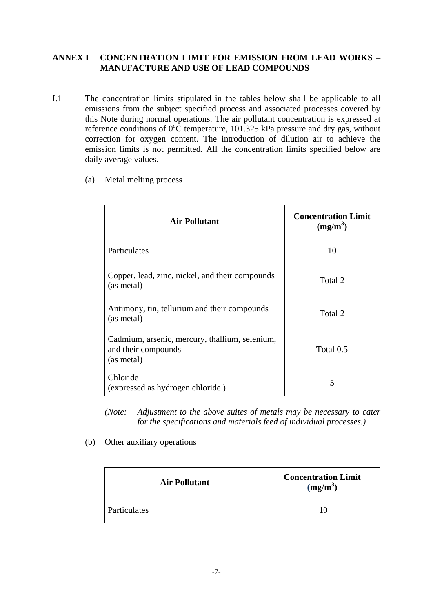#### **ANNEX I CONCENTRATION LIMIT FOR EMISSION FROM LEAD WORKS – MANUFACTURE AND USE OF LEAD COMPOUNDS**

- I.1 The concentration limits stipulated in the tables below shall be applicable to all emissions from the subject specified process and associated processes covered by this Note during normal operations. The air pollutant concentration is expressed at reference conditions of  $0^{\circ}$ C temperature, 101.325 kPa pressure and dry gas, without correction for oxygen content. The introduction of dilution air to achieve the emission limits is not permitted. All the concentration limits specified below are daily average values.
	- (a) Metal melting process

| <b>Air Pollutant</b>                                                                | <b>Concentration Limit</b><br>$(mg/m^3)$ |
|-------------------------------------------------------------------------------------|------------------------------------------|
| Particulates                                                                        | 10                                       |
| Copper, lead, zinc, nickel, and their compounds<br>(as metal)                       | Total 2                                  |
| Antimony, tin, tellurium and their compounds<br>(as metal)                          | Total 2                                  |
| Cadmium, arsenic, mercury, thallium, selenium,<br>and their compounds<br>(as metal) | Total 0.5                                |
| Chloride<br>(expressed as hydrogen chloride)                                        | 5                                        |

*(Note: Adjustment to the above suites of metals may be necessary to cater for the specifications and materials feed of individual processes.)* 

#### (b) Other auxiliary operations

| <b>Air Pollutant</b> | <b>Concentration Limit</b><br>(mg/m <sup>3</sup> ) |
|----------------------|----------------------------------------------------|
| Particulates         |                                                    |